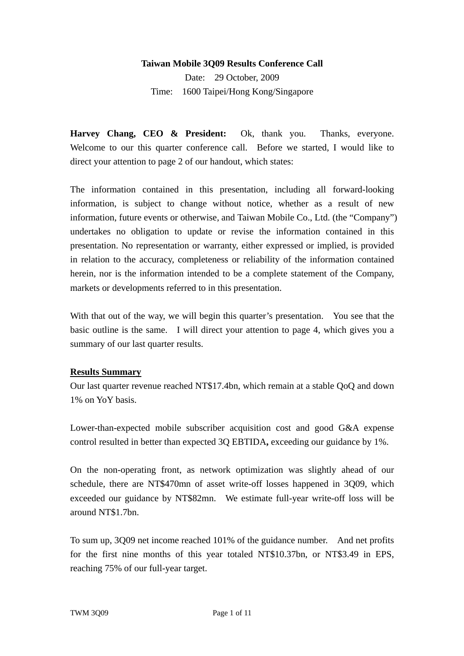#### **Taiwan Mobile 3Q09 Results Conference Call**

Date: 29 October, 2009 Time: 1600 Taipei/Hong Kong/Singapore

**Harvey Chang, CEO & President:** Ok, thank you.Thanks, everyone. Welcome to our this quarter conference call. Before we started, I would like to direct your attention to page 2 of our handout, which states:

The information contained in this presentation, including all forward-looking information, is subject to change without notice, whether as a result of new information, future events or otherwise, and Taiwan Mobile Co., Ltd. (the "Company") undertakes no obligation to update or revise the information contained in this presentation. No representation or warranty, either expressed or implied, is provided in relation to the accuracy, completeness or reliability of the information contained herein, nor is the information intended to be a complete statement of the Company, markets or developments referred to in this presentation.

With that out of the way, we will begin this quarter's presentation. You see that the basic outline is the same. I will direct your attention to page 4, which gives you a summary of our last quarter results.

#### **Results Summary**

Our last quarter revenue reached NT\$17.4bn, which remain at a stable QoQ and down 1% on YoY basis.

Lower-than-expected mobile subscriber acquisition cost and good G&A expense control resulted in better than expected 3Q EBTIDA**,** exceeding our guidance by 1%.

On the non-operating front, as network optimization was slightly ahead of our schedule, there are NT\$470mn of asset write-off losses happened in 3Q09, which exceeded our guidance by NT\$82mn. We estimate full-year write-off loss will be around NT\$1.7bn.

To sum up, 3Q09 net income reached 101% of the guidance number. And net profits for the first nine months of this year totaled NT\$10.37bn, or NT\$3.49 in EPS, reaching 75% of our full-year target.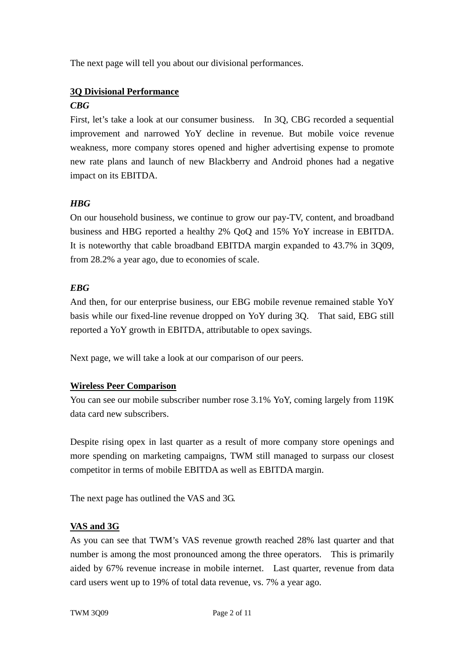The next page will tell you about our divisional performances.

## **3Q Divisional Performance**

## *CBG*

First, let's take a look at our consumer business. In 3Q, CBG recorded a sequential improvement and narrowed YoY decline in revenue. But mobile voice revenue weakness, more company stores opened and higher advertising expense to promote new rate plans and launch of new Blackberry and Android phones had a negative impact on its EBITDA.

## *HBG*

On our household business, we continue to grow our pay-TV, content, and broadband business and HBG reported a healthy 2% QoQ and 15% YoY increase in EBITDA. It is noteworthy that cable broadband EBITDA margin expanded to 43.7% in 3Q09, from 28.2% a year ago, due to economies of scale.

#### *EBG*

And then, for our enterprise business, our EBG mobile revenue remained stable YoY basis while our fixed-line revenue dropped on YoY during 3Q. That said, EBG still reported a YoY growth in EBITDA, attributable to opex savings.

Next page, we will take a look at our comparison of our peers.

#### **Wireless Peer Comparison**

You can see our mobile subscriber number rose 3.1% YoY, coming largely from 119K data card new subscribers.

Despite rising opex in last quarter as a result of more company store openings and more spending on marketing campaigns, TWM still managed to surpass our closest competitor in terms of mobile EBITDA as well as EBITDA margin.

The next page has outlined the VAS and 3G.

## **VAS and 3G**

As you can see that TWM's VAS revenue growth reached 28% last quarter and that number is among the most pronounced among the three operators. This is primarily aided by 67% revenue increase in mobile internet. Last quarter, revenue from data card users went up to 19% of total data revenue, vs. 7% a year ago.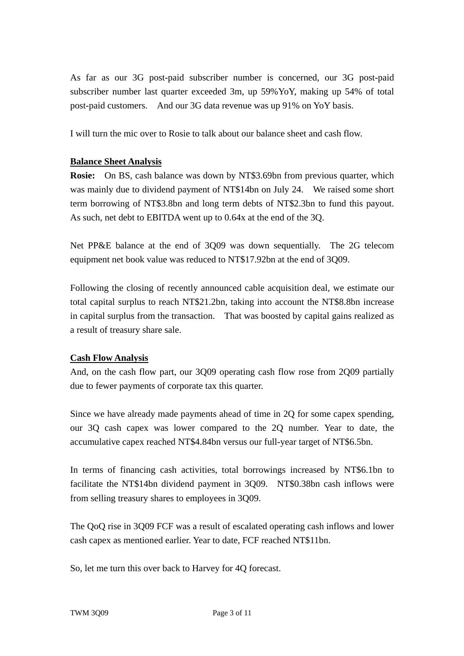As far as our 3G post-paid subscriber number is concerned, our 3G post-paid subscriber number last quarter exceeded 3m, up 59%YoY, making up 54% of total post-paid customers. And our 3G data revenue was up 91% on YoY basis.

I will turn the mic over to Rosie to talk about our balance sheet and cash flow.

### **Balance Sheet Analysis**

**Rosie:** On BS, cash balance was down by NT\$3.69bn from previous quarter, which was mainly due to dividend payment of NT\$14bn on July 24. We raised some short term borrowing of NT\$3.8bn and long term debts of NT\$2.3bn to fund this payout. As such, net debt to EBITDA went up to 0.64x at the end of the 3Q.

Net PP&E balance at the end of 3Q09 was down sequentially. The 2G telecom equipment net book value was reduced to NT\$17.92bn at the end of 3Q09.

Following the closing of recently announced cable acquisition deal, we estimate our total capital surplus to reach NT\$21.2bn, taking into account the NT\$8.8bn increase in capital surplus from the transaction. That was boosted by capital gains realized as a result of treasury share sale.

#### **Cash Flow Analysis**

And, on the cash flow part, our 3Q09 operating cash flow rose from 2Q09 partially due to fewer payments of corporate tax this quarter.

Since we have already made payments ahead of time in 2Q for some capex spending, our 3Q cash capex was lower compared to the 2Q number. Year to date, the accumulative capex reached NT\$4.84bn versus our full-year target of NT\$6.5bn.

In terms of financing cash activities, total borrowings increased by NT\$6.1bn to facilitate the NT\$14bn dividend payment in 3Q09. NT\$0.38bn cash inflows were from selling treasury shares to employees in 3Q09.

The QoQ rise in 3Q09 FCF was a result of escalated operating cash inflows and lower cash capex as mentioned earlier. Year to date, FCF reached NT\$11bn.

So, let me turn this over back to Harvey for 4Q forecast.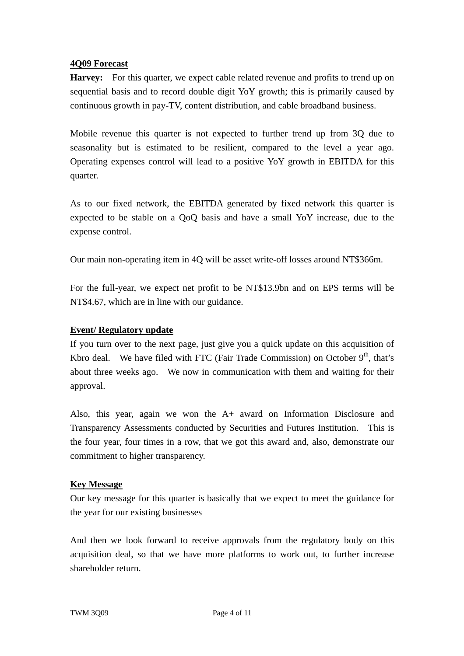#### **4Q09 Forecast**

**Harvey:** For this quarter, we expect cable related revenue and profits to trend up on sequential basis and to record double digit YoY growth; this is primarily caused by continuous growth in pay-TV, content distribution, and cable broadband business.

Mobile revenue this quarter is not expected to further trend up from 3Q due to seasonality but is estimated to be resilient, compared to the level a year ago. Operating expenses control will lead to a positive YoY growth in EBITDA for this quarter.

As to our fixed network, the EBITDA generated by fixed network this quarter is expected to be stable on a QoQ basis and have a small YoY increase, due to the expense control.

Our main non-operating item in 4Q will be asset write-off losses around NT\$366m.

For the full-year, we expect net profit to be NT\$13.9bn and on EPS terms will be NT\$4.67, which are in line with our guidance.

#### **Event/ Regulatory update**

If you turn over to the next page, just give you a quick update on this acquisition of Kbro deal. We have filed with FTC (Fair Trade Commission) on October  $9<sup>th</sup>$ , that's about three weeks ago. We now in communication with them and waiting for their approval.

Also, this year, again we won the A+ award on Information Disclosure and Transparency Assessments conducted by Securities and Futures Institution. This is the four year, four times in a row, that we got this award and, also, demonstrate our commitment to higher transparency.

#### **Key Message**

Our key message for this quarter is basically that we expect to meet the guidance for the year for our existing businesses

And then we look forward to receive approvals from the regulatory body on this acquisition deal, so that we have more platforms to work out, to further increase shareholder return.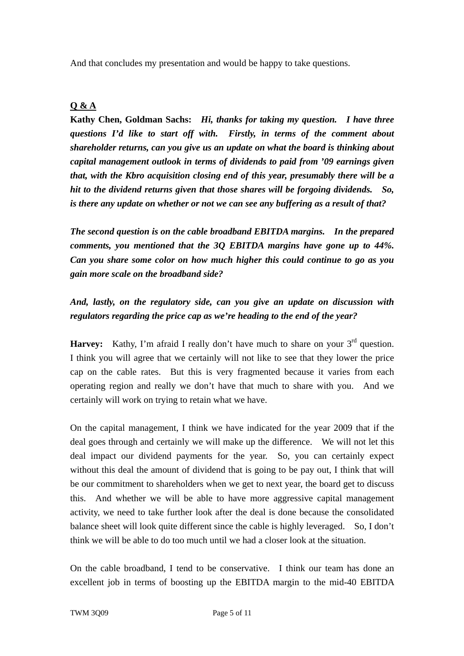And that concludes my presentation and would be happy to take questions.

## **Q & A**

**Kathy Chen, Goldman Sachs:** *Hi, thanks for taking my question. I have three questions I'd like to start off with. Firstly, in terms of the comment about shareholder returns, can you give us an update on what the board is thinking about capital management outlook in terms of dividends to paid from '09 earnings given that, with the Kbro acquisition closing end of this year, presumably there will be a hit to the dividend returns given that those shares will be forgoing dividends. So, is there any update on whether or not we can see any buffering as a result of that?* 

*The second question is on the cable broadband EBITDA margins. In the prepared comments, you mentioned that the 3Q EBITDA margins have gone up to 44%. Can you share some color on how much higher this could continue to go as you gain more scale on the broadband side?* 

# *And, lastly, on the regulatory side, can you give an update on discussion with regulators regarding the price cap as we're heading to the end of the year?*

**Harvey:** Kathy, I'm afraid I really don't have much to share on your  $3^{rd}$  question. I think you will agree that we certainly will not like to see that they lower the price cap on the cable rates. But this is very fragmented because it varies from each operating region and really we don't have that much to share with you. And we certainly will work on trying to retain what we have.

On the capital management, I think we have indicated for the year 2009 that if the deal goes through and certainly we will make up the difference. We will not let this deal impact our dividend payments for the year. So, you can certainly expect without this deal the amount of dividend that is going to be pay out, I think that will be our commitment to shareholders when we get to next year, the board get to discuss this. And whether we will be able to have more aggressive capital management activity, we need to take further look after the deal is done because the consolidated balance sheet will look quite different since the cable is highly leveraged. So, I don't think we will be able to do too much until we had a closer look at the situation.

On the cable broadband, I tend to be conservative. I think our team has done an excellent job in terms of boosting up the EBITDA margin to the mid-40 EBITDA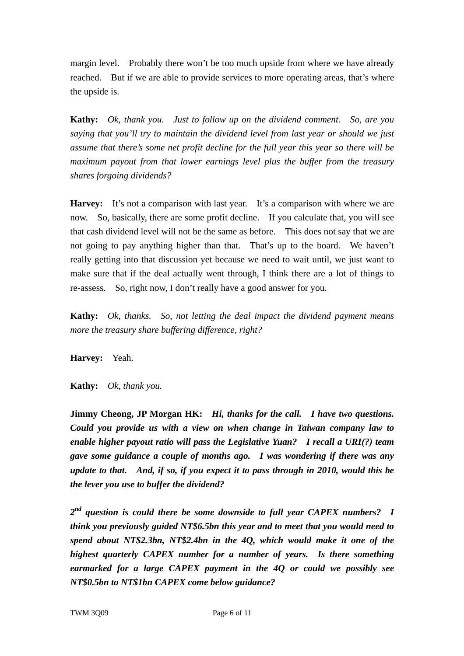margin level. Probably there won't be too much upside from where we have already reached. But if we are able to provide services to more operating areas, that's where the upside is.

**Kathy:** *Ok, thank you. Just to follow up on the dividend comment. So, are you saying that you'll try to maintain the dividend level from last year or should we just assume that there's some net profit decline for the full year this year so there will be maximum payout from that lower earnings level plus the buffer from the treasury shares forgoing dividends?*

**Harvey:** It's not a comparison with last year. It's a comparison with where we are now. So, basically, there are some profit decline. If you calculate that, you will see that cash dividend level will not be the same as before. This does not say that we are not going to pay anything higher than that. That's up to the board. We haven't really getting into that discussion yet because we need to wait until, we just want to make sure that if the deal actually went through, I think there are a lot of things to re-assess. So, right now, I don't really have a good answer for you.

**Kathy:** *Ok, thanks. So, not letting the deal impact the dividend payment means more the treasury share buffering difference, right?*

**Harvey:** Yeah.

**Kathy:** *Ok, thank you.* 

**Jimmy Cheong, JP Morgan HK:** *Hi, thanks for the call. I have two questions. Could you provide us with a view on when change in Taiwan company law to enable higher payout ratio will pass the Legislative Yuan? I recall a URI(?) team gave some guidance a couple of months ago. I was wondering if there was any update to that. And, if so, if you expect it to pass through in 2010, would this be the lever you use to buffer the dividend?* 

*2nd question is could there be some downside to full year CAPEX numbers? I think you previously guided NT\$6.5bn this year and to meet that you would need to spend about NT\$2.3bn, NT\$2.4bn in the 4Q, which would make it one of the highest quarterly CAPEX number for a number of years. Is there something earmarked for a large CAPEX payment in the 4Q or could we possibly see NT\$0.5bn to NT\$1bn CAPEX come below guidance?*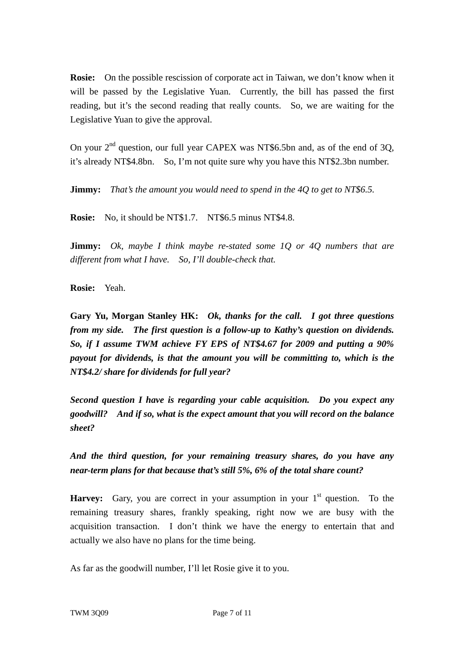**Rosie:** On the possible rescission of corporate act in Taiwan, we don't know when it will be passed by the Legislative Yuan. Currently, the bill has passed the first reading, but it's the second reading that really counts. So, we are waiting for the Legislative Yuan to give the approval.

On your  $2<sup>nd</sup>$  question, our full year CAPEX was NT\$6.5bn and, as of the end of 3Q, it's already NT\$4.8bn. So, I'm not quite sure why you have this NT\$2.3bn number.

**Jimmy:** *That's the amount you would need to spend in the 4Q to get to NT\$6.5.*

**Rosie:** No, it should be NT\$1.7. NT\$6.5 minus NT\$4.8.

**Jimmy:** *Ok, maybe I think maybe re-stated some 1Q or 4Q numbers that are different from what I have. So, I'll double-check that.* 

**Rosie:** Yeah.

**Gary Yu, Morgan Stanley HK:** *Ok, thanks for the call. I got three questions from my side. The first question is a follow-up to Kathy's question on dividends. So, if I assume TWM achieve FY EPS of NT\$4.67 for 2009 and putting a 90% payout for dividends, is that the amount you will be committing to, which is the NT\$4.2/ share for dividends for full year?* 

*Second question I have is regarding your cable acquisition. Do you expect any goodwill? And if so, what is the expect amount that you will record on the balance sheet?* 

*And the third question, for your remaining treasury shares, do you have any near-term plans for that because that's still 5%, 6% of the total share count?* 

**Harvey:** Gary, you are correct in your assumption in your  $1<sup>st</sup>$  question. To the remaining treasury shares, frankly speaking, right now we are busy with the acquisition transaction. I don't think we have the energy to entertain that and actually we also have no plans for the time being.

As far as the goodwill number, I'll let Rosie give it to you.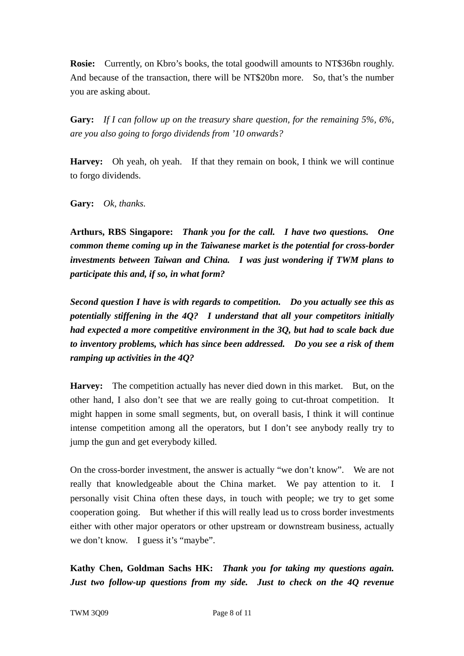**Rosie:** Currently, on Kbro's books, the total goodwill amounts to NT\$36bn roughly. And because of the transaction, there will be NT\$20bn more. So, that's the number you are asking about.

**Gary:** *If I can follow up on the treasury share question, for the remaining 5%, 6%, are you also going to forgo dividends from '10 onwards?* 

**Harvey:** Oh yeah, oh yeah. If that they remain on book, I think we will continue to forgo dividends.

**Gary:** *Ok, thanks.* 

**Arthurs, RBS Singapore:** *Thank you for the call. I have two questions. One common theme coming up in the Taiwanese market is the potential for cross-border investments between Taiwan and China. I was just wondering if TWM plans to participate this and, if so, in what form?* 

*Second question I have is with regards to competition. Do you actually see this as potentially stiffening in the 4Q? I understand that all your competitors initially had expected a more competitive environment in the 3Q, but had to scale back due to inventory problems, which has since been addressed. Do you see a risk of them ramping up activities in the 4Q?* 

**Harvey:** The competition actually has never died down in this market. But, on the other hand, I also don't see that we are really going to cut-throat competition. It might happen in some small segments, but, on overall basis, I think it will continue intense competition among all the operators, but I don't see anybody really try to jump the gun and get everybody killed.

On the cross-border investment, the answer is actually "we don't know". We are not really that knowledgeable about the China market. We pay attention to it. I personally visit China often these days, in touch with people; we try to get some cooperation going. But whether if this will really lead us to cross border investments either with other major operators or other upstream or downstream business, actually we don't know. I guess it's "maybe".

**Kathy Chen, Goldman Sachs HK:** *Thank you for taking my questions again. Just two follow-up questions from my side. Just to check on the 4Q revenue*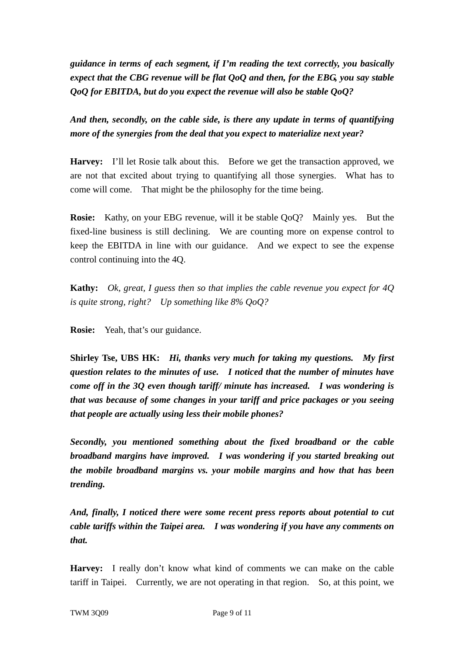*guidance in terms of each segment, if I'm reading the text correctly, you basically expect that the CBG revenue will be flat QoQ and then, for the EBG, you say stable QoQ for EBITDA, but do you expect the revenue will also be stable QoQ?* 

*And then, secondly, on the cable side, is there any update in terms of quantifying more of the synergies from the deal that you expect to materialize next year?* 

**Harvey:** I'll let Rosie talk about this. Before we get the transaction approved, we are not that excited about trying to quantifying all those synergies. What has to come will come. That might be the philosophy for the time being.

**Rosie:** Kathy, on your EBG revenue, will it be stable QoQ? Mainly yes. But the fixed-line business is still declining. We are counting more on expense control to keep the EBITDA in line with our guidance. And we expect to see the expense control continuing into the 4Q.

**Kathy:** *Ok, great, I guess then so that implies the cable revenue you expect for 4Q is quite strong, right? Up something like 8% QoQ?*

**Rosie:** Yeah, that's our guidance.

**Shirley Tse, UBS HK:** *Hi, thanks very much for taking my questions. My first question relates to the minutes of use. I noticed that the number of minutes have come off in the 3Q even though tariff/ minute has increased. I was wondering is that was because of some changes in your tariff and price packages or you seeing that people are actually using less their mobile phones?* 

*Secondly, you mentioned something about the fixed broadband or the cable broadband margins have improved. I was wondering if you started breaking out the mobile broadband margins vs. your mobile margins and how that has been trending.* 

*And, finally, I noticed there were some recent press reports about potential to cut cable tariffs within the Taipei area. I was wondering if you have any comments on that.* 

**Harvey:** I really don't know what kind of comments we can make on the cable tariff in Taipei. Currently, we are not operating in that region. So, at this point, we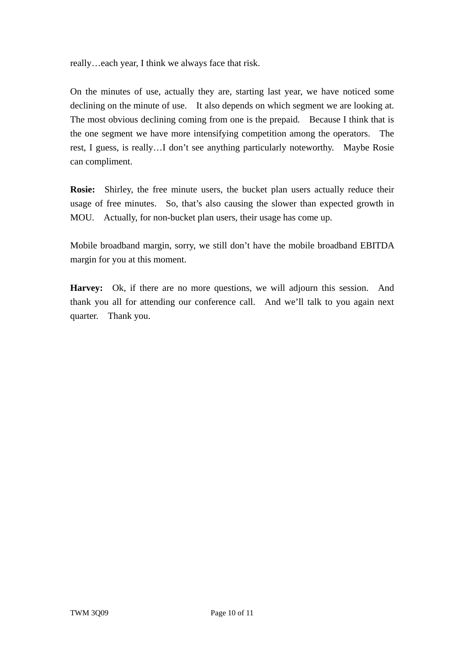really…each year, I think we always face that risk.

On the minutes of use, actually they are, starting last year, we have noticed some declining on the minute of use. It also depends on which segment we are looking at. The most obvious declining coming from one is the prepaid. Because I think that is the one segment we have more intensifying competition among the operators. The rest, I guess, is really…I don't see anything particularly noteworthy. Maybe Rosie can compliment.

**Rosie:** Shirley, the free minute users, the bucket plan users actually reduce their usage of free minutes. So, that's also causing the slower than expected growth in MOU. Actually, for non-bucket plan users, their usage has come up.

Mobile broadband margin, sorry, we still don't have the mobile broadband EBITDA margin for you at this moment.

**Harvey:** Ok, if there are no more questions, we will adjourn this session. And thank you all for attending our conference call. And we'll talk to you again next quarter. Thank you.